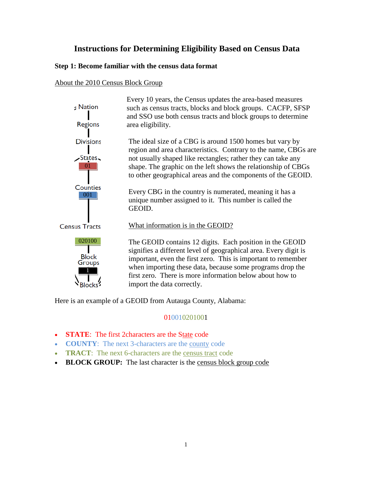# **Instructions for Determining Eligibility Based on Census Data**

### **Step 1: Become familiar with the census data format**

### About the 2010 Census Block Group

| $:$ Nation<br>Regions                     | Every 10 years, the Census updates the area-based measures<br>such as census tracts, blocks and block groups. CACFP, SFSP<br>and SSO use both census tracts and block groups to determine<br>area eligibility.                                                                                                                                       |
|-------------------------------------------|------------------------------------------------------------------------------------------------------------------------------------------------------------------------------------------------------------------------------------------------------------------------------------------------------------------------------------------------------|
| <b>Divisions</b>                          | The ideal size of a CBG is around 1500 homes but vary by<br>region and area characteristics. Contrary to the name, CBGs are                                                                                                                                                                                                                          |
| $\sim$ States<br>$\Omega$ 1               | not usually shaped like rectangles; rather they can take any<br>shape. The graphic on the left shows the relationship of CBGs<br>to other geographical areas and the components of the GEOID.                                                                                                                                                        |
| Counties<br>001                           | Every CBG in the country is numerated, meaning it has a<br>unique number assigned to it. This number is called the<br>GEOID.                                                                                                                                                                                                                         |
| <b>Census Tracts</b>                      | What information is in the GEOID?                                                                                                                                                                                                                                                                                                                    |
| 020100<br><b>Block</b><br>Groups<br>Block | The GEOID contains 12 digits. Each position in the GEOID<br>signifies a different level of geographical area. Every digit is<br>important, even the first zero. This is important to remember<br>when importing these data, because some programs drop the<br>first zero. There is more information below about how to<br>import the data correctly. |
|                                           |                                                                                                                                                                                                                                                                                                                                                      |

Here is an example of a GEOID from Autauga County, Alabama:

### 010010201001

- **STATE**: The first 2characters are the State code
- **COUNTY**: The next 3-characters are the county code
- **TRACT:** The next 6-characters are the census tract code
- BLOCK GROUP: The last character is the census block group code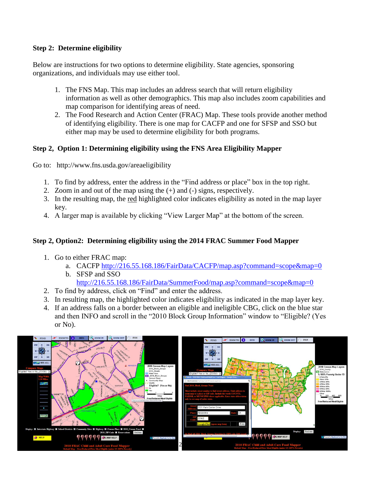## **Step 2: Determine eligibility**

Below are instructions for two options to determine eligibility. State agencies, sponsoring organizations, and individuals may use either tool.

- 1. The FNS Map. This map includes an address search that will return eligibility information as well as other demographics. This map also includes zoom capabilities and map comparison for identifying areas of need.
- 2. The Food Research and Action Center (FRAC) Map. These tools provide another method of identifying eligibility. There is one map for CACFP and one for SFSP and SSO but either map may be used to determine eligibility for both programs.

# **Step 2, Option 1: Determining eligibility using the FNS Area Eligibility Mapper**

Go to: http://www.fns.usda.gov/areaeligibility

- 1. To find by address, enter the address in the "Find address or place" box in the top right.
- 2. Zoom in and out of the map using the (+) and (-) signs, respectively.
- 3. In the resulting map, the red highlighted color indicates eligibility as noted in the map layer key.
- 4. A larger map is available by clicking "View Larger Map" at the bottom of the screen.

# **Step 2, Option2: Determining eligibility using the 2014 FRAC Summer Food Mapper**

- 1. Go to either FRAC map:
	- a. CACFP<http://216.55.168.186/FairData/CACFP/map.asp?command=scope&map=0> b. SFSP and SSO

### <http://216.55.168.186/FairData/SummerFood/map.asp?command=scope&map=0>

- 2. To find by address, click on "Find" and enter the address.
- 3. In resulting map, the highlighted color indicates eligibility as indicated in the map layer key.
- 4. If an address falls on a border between an eligible and ineligible CBG, click on the blue star and then INFO and scroll in the "2010 Block Group Information" window to "Eligible? (Yes or No).

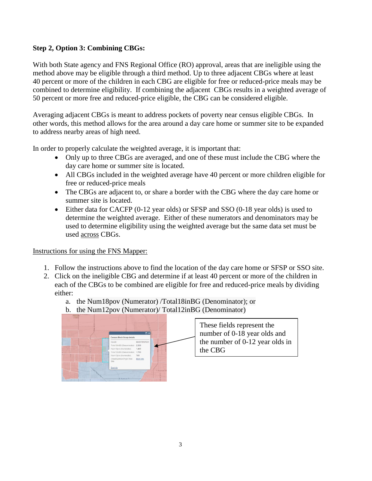## **Step 2, Option 3: Combining CBGs:**

With both State agency and FNS Regional Office (RO) approval, areas that are ineligible using the method above may be eligible through a third method. Up to three adjacent CBGs where at least 40 percent or more of the children in each CBG are eligible for free or reduced-price meals may be combined to determine eligibility. If combining the adjacent CBGs results in a weighted average of 50 percent or more free and reduced-price eligible, the CBG can be considered eligible.

Averaging adjacent CBGs is meant to address pockets of poverty near census eligible CBGs. In other words, this method allows for the area around a day care home or summer site to be expanded to address nearby areas of high need.

In order to properly calculate the weighted average, it is important that:

- Only up to three CBGs are averaged, and one of these must include the CBG where the day care home or summer site is located.
- All CBGs included in the weighted average have 40 percent or more children eligible for free or reduced-price meals
- The CBGs are adjacent to, or share a border with the CBG where the day care home or summer site is located.
- Either data for CACFP (0-12 year olds) or SFSP and SSO (0-18 year olds) is used to determine the weighted average. Either of these numerators and denominators may be used to determine eligibility using the weighted average but the same data set must be used across CBGs.

Instructions for using the FNS Mapper:

- 1. Follow the instructions above to find the location of the day care home or SFSP or SSO site.
- 2. Click on the ineligible CBG and determine if at least 40 percent or more of the children in each of the CBGs to be combined are eligible for free and reduced-price meals by dividing either:
	- a. the Num18pov (Numerator) /Total18inBG (Denominator); or
	- b. the Num12pov (Numerator)/ Total12inBG (Denominator)